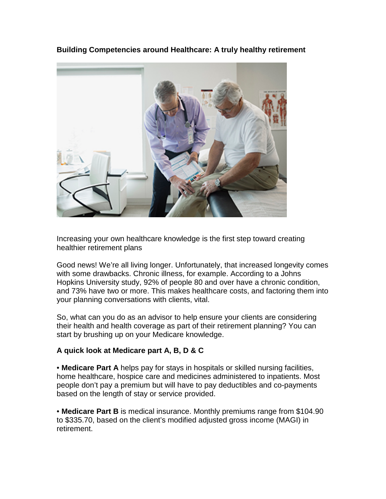**Building Competencies around Healthcare: A truly healthy retirement**



Increasing your own healthcare knowledge is the first step toward creating healthier retirement plans

Good news! We're all living longer. Unfortunately, that increased longevity comes with some drawbacks. Chronic illness, for example. According to a Johns Hopkins University study, 92% of people 80 and over have a chronic condition, and 73% have two or more. This makes healthcare costs, and factoring them into your planning conversations with clients, vital.

So, what can you do as an advisor to help ensure your clients are considering their health and health coverage as part of their retirement planning? You can start by brushing up on your Medicare knowledge.

## **A quick look at Medicare part A, B, D & C**

• **Medicare Part A** helps pay for stays in hospitals or skilled nursing facilities, home healthcare, hospice care and medicines administered to inpatients. Most people don't pay a premium but will have to pay deductibles and co-payments based on the length of stay or service provided.

• **Medicare Part B** is medical insurance. Monthly premiums range from \$104.90 to \$335.70, based on the client's modified adjusted gross income (MAGI) in retirement.